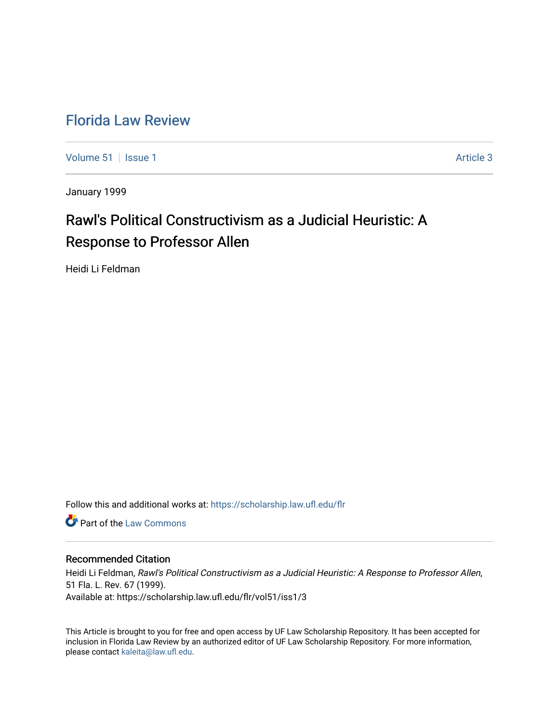## [Florida Law Review](https://scholarship.law.ufl.edu/flr)

[Volume 51](https://scholarship.law.ufl.edu/flr/vol51) | [Issue 1](https://scholarship.law.ufl.edu/flr/vol51/iss1) Article 3

January 1999

# Rawl's Political Constructivism as a Judicial Heuristic: A Response to Professor Allen

Heidi Li Feldman

Follow this and additional works at: [https://scholarship.law.ufl.edu/flr](https://scholarship.law.ufl.edu/flr?utm_source=scholarship.law.ufl.edu%2Fflr%2Fvol51%2Fiss1%2F3&utm_medium=PDF&utm_campaign=PDFCoverPages)

Part of the [Law Commons](http://network.bepress.com/hgg/discipline/578?utm_source=scholarship.law.ufl.edu%2Fflr%2Fvol51%2Fiss1%2F3&utm_medium=PDF&utm_campaign=PDFCoverPages)

### Recommended Citation

Heidi Li Feldman, Rawl's Political Constructivism as a Judicial Heuristic: A Response to Professor Allen, 51 Fla. L. Rev. 67 (1999). Available at: https://scholarship.law.ufl.edu/flr/vol51/iss1/3

This Article is brought to you for free and open access by UF Law Scholarship Repository. It has been accepted for inclusion in Florida Law Review by an authorized editor of UF Law Scholarship Repository. For more information, please contact [kaleita@law.ufl.edu](mailto:kaleita@law.ufl.edu).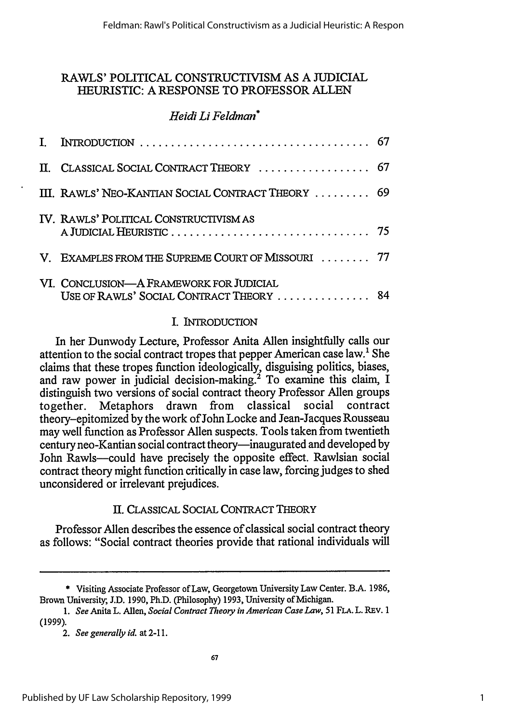### RAWLS' POLITICAL CONSTRUCTIVISM AS A JUDICIAL HEURISTIC: A RESPONSE TO PROFESSOR ALLEN

### *Heidi Li Feldman\**

| II. CLASSICAL SOCIAL CONTRACT THEORY  67                                            |  |
|-------------------------------------------------------------------------------------|--|
| III. RAWLS' NEO-KANTIAN SOCIAL CONTRACT THEORY  69                                  |  |
| IV. RAWLS' POLITICAL CONSTRUCTIVISM AS                                              |  |
| V. EXAMPLES FROM THE SUPREME COURT OF MISSOURI  77                                  |  |
| VI. CONCLUSION-A FRAMEWORK FOR JUDICIAL<br>USE OF RAWLS' SOCIAL CONTRACT THEORY  84 |  |

### I. INTRODUCTION

In her Dunwody Lecture, Professor Anita Allen insightfully calls our attention to the social contract tropes that pepper American case law.' She claims that these tropes function ideologically, disguising politics, biases, and raw power in judicial decision-making.<sup>2</sup> To examine this claim, I distinguish two versions of social contract theory Professor Allen groups<br>together. Metaphors drawn from classical social contract together. Metaphors drawn theory-epitomized by the work of John Locke and Jean-Jacques Rousseau may well function as Professor Allen suspects. Tools taken from twentieth century neo-Kantian social contract theory-inaugurated and developed by John Rawls-could have precisely the opposite effect. Rawlsian social contract theory might function critically in case law, forcing judges to shed unconsidered or irrelevant prejudices.

### II. CLASSICAL SOCIAL CONTRACT THEORY

Professor Allen describes the essence of classical social contract theory as follows: "Social contract theories provide that rational individuals will

<sup>\*</sup> Visiting Associate Professor of Law, Georgetown University Law Center. B.A. 1986, Brown University, J.D. 1990, Ph.D. (Philosophy) 1993, University of Michigan.

*<sup>1.</sup> See* Anita L. Allen, *Social Contract Theory in American Case Law,* **51 FLA.** L. REV. 1 (1999).

*<sup>2.</sup> See generally id.* at 2-11.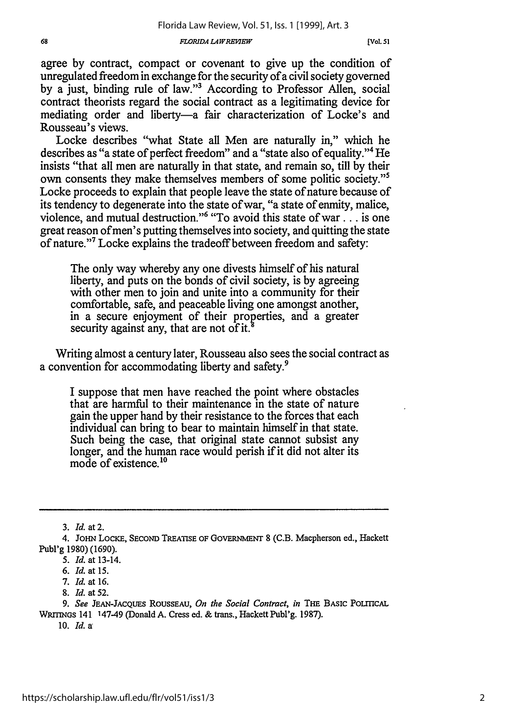*FLORIDA LA WREEW.*

agree by contract, compact or covenant to give up the condition of unregulated freedom in exchange for the security of a civil society governed by a just, binding rule of law."3 According to Professor Allen, social contract theorists regard the social contract as a legitimating device for mediating order and liberty-a fair characterization of Locke's and Rousseau's views.

Locke describes "what State all Men are naturally in," which he describes as "a state of perfect freedom" and a "state also of equality."4 He insists "that all men are naturally in that state, and remain so, till by their own consents they make themselves members of some politic society."5 Locke proceeds to explain that people leave the state of nature because of its tendency to degenerate into the state of war, "a state of enmity, malice, violence, and mutual destruction."<sup>6</sup> "To avoid this state of war... is one great reason of men's putting themselves into society, and quitting the state of nature."7 Locke explains the tradeoff between freedom and safety:

The only way whereby any one divests himself of his natural liberty, and puts on the bonds of civil society, is by agreeing with other men to join and unite into a community for their comfortable, safe, and peaceable living one amongst another, in a secure enjoyment of their properties, and a greater security against any, that are not of it.

Writing almost a century later, Rousseau also sees the social contract as a convention for accommodating liberty and safety.9

I suppose that men have reached the point where obstacles that are harmful to their maintenance in the state of nature gain the upper hand by their resistance to the forces that each individual can bring to bear to maintain himself in that state. Such being the case, that original state cannot subsist any longer, and the human race would perish if it did not alter its mode of existence <sup>10</sup>

3. *Id.* at 2.

<sup>4.</sup> JOHN **LOcKE,** SECOND **TREATISE** OF **GovERNMENT** 8 (C.B. Macpherson ed., Hackett Publ'g 1980) (1690).

*<sup>5.</sup> Id.* at 13-14.

*<sup>6.</sup> Id.* at 15.

<sup>7.</sup> *Id.* at 16.

<sup>8.</sup> *Id.* at 52.

*<sup>9.</sup> See* JEAN-JACQUES **ROUSSEAU,** *On the Social Contract, in* **THE BASIC POLITICAL WRMTNGS** 141 147-49 (Donald **A.** Cress ed. & trans., Hackett Publ'g. 1987).

<sup>10.</sup> *Id.* a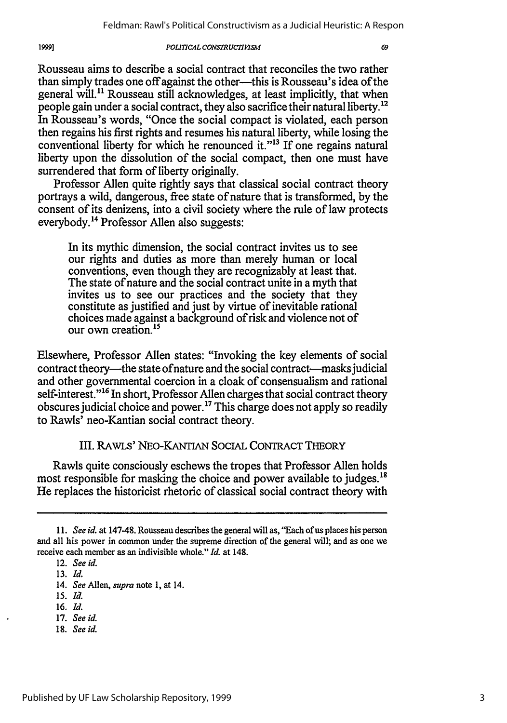#### *POLITICAL CONSTRUCTIVISM*

Rousseau aims to describe a social contract that reconciles the two rather than simply trades one off against the other---this is Rousseau's idea of the general will." Rousseau still acknowledges, at least implicitly, that when people gain under a social contract, they also sacrifice their natural liberty.<sup>12</sup> In Rousseau's words, "Once the social compact is violated, each person then regains his first rights and resumes his natural liberty, while losing the conventional liberty for which he renounced it."<sup>13</sup> If one regains natural liberty upon the dissolution of the social compact, then one must have surrendered that form of liberty originally.

Professor Allen quite rightly says that classical social contract theory portrays a wild, dangerous, free state of nature that is transformed, by the consent of its denizens, into a civil society where the rule of law protects everybody."4 Professor Allen also suggests:

In its mythic dimension, the social contract invites us to see our rights and duties as more than merely human or local conventions, even though they are recognizably at least that. The state of nature and the social contract unite in a myth that invites us to see our practices and the society that they constitute as justified and just by virtue of inevitable rational choices made against a background of risk and violence not of our own creation <sup>15</sup>

Elsewhere, Professor Allen states: "Invoking the key elements of social contract theory—the state of nature and the social contract—masks judicial and other governmental coercion in a cloak of consensualism and rational self-interest."<sup>16</sup> In short, Professor Allen charges that social contract theory obscures judicial choice and power.<sup>17</sup> This charge does not apply so readily to Rawls' neo-Kantian social contract theory.

### Ill. RAwLs' NEO-KANTIAN SOCIAL CONTRACT THEORY

Rawls quite consciously eschews the tropes that Professor Allen holds most responsible for masking the choice and power available to judges.<sup>18</sup> He replaces the historicist rhetoric of classical social contract theory with

19991

- 16. *Id.*
- 17. *See id.*
- 18. *See id.*

*<sup>11.</sup> See id.* at 147-48. Rousseau describes the general will as, "Each of us places his person and all his power in common under the supreme direction of the general will; and as one we receive each member as an indivisible whole." *Id.* at 148.

<sup>12.</sup> *See id.*

<sup>13.</sup> *Id.*

<sup>14.</sup> *See* Allen, *supra* note 1, at 14.

*<sup>15.</sup> Id.*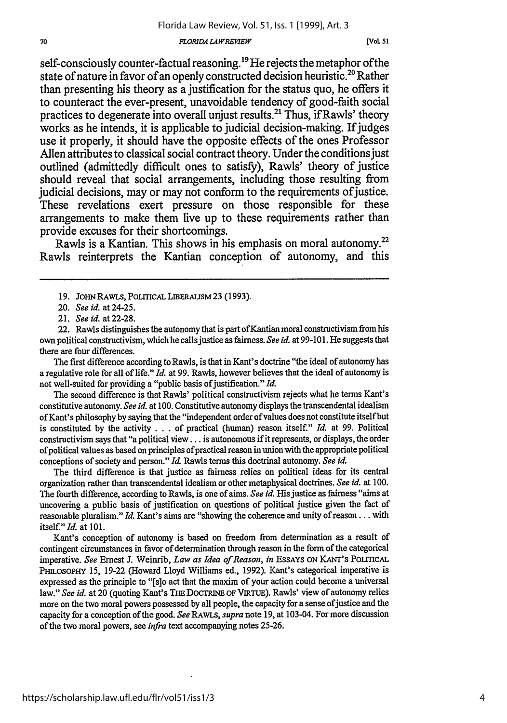#### *FLORIDA L4 WREWEW*

self-consciously counter-factual reasoning.<sup>19</sup> He rejects the metaphor of the state of nature in favor of an openly constructed decision heuristic.<sup>20</sup> Rather than presenting his theory as a justification for the status quo, he offers it to counteract the ever-present, unavoidable tendency of good-faith social practices to degenerate into overall unjust results.2' Thus, if Rawls' theory works as he intends, it is applicable to judicial decision-making. If judges use it properly, it should have the opposite effects of the ones Professor Allen attributes to classical social contract theory. Under the conditions just outlined (admittedly difficult ones to satisfy), Rawls' theory of justice should reveal that social arrangements, including those resulting from judicial decisions, may or may not conform to the requirements of justice. These revelations exert pressure on those responsible for these arrangements to make them live up to these requirements rather than provide excuses for their shortcomings.

Rawls is a Kantian. This shows in his emphasis on moral autonomy.<sup>22</sup> Rawls reinterprets the Kantian conception of autonomy, and this

The first difference according to Rawls, is that in Kant's doctrine "the ideal of autonomy has a regulative role for all of life." *Id.* at 99. Rawls, however believes that the ideal of autonomy is not well-suited for providing a "public basis of justification." *Id.* 

The second difference is that Rawls' political constructivism rejects what he terms Kant's constitutive autonomy. *See id.* at 100. Constitutive autonomy displays the transcendental idealism of Kant's philosophy by saying that the "independent order of values does not constitute itself but is constituted by the activity . . . of practical (human) reason itself." *Id.* at 99. Political constructivism says that "a political view... is autonomous if it represents, or displays, the order of political values as based on principles ofpractical reason in union with the appropriate political conceptions of society and person." *Id.* Rawls terms this doctrinal autonomy. *See id.*

The third difference is that justice as fairness relies on political ideas for its central organization rather than transcendental idealism or other metaphysical doctrines. *See id.* at 100. The fourth difference, according to Rawls, is one of aims. *See id.* His justice as fairness "aims at uncovering a public basis of justification on questions of political justice given the fact of reasonable pluralism." *Id.* Kant's aims are "showing the coherence and unity of reason... with itself." *Id.* at 101.

Kant's conception of autonomy is based on freedom from determination as a result of contingent circumstances in favor of determination through reason in the form of the categorical imperative. *See* Ernest J. Weinrib, *Law as Idea of Reason, in* EssAYs **ON KANT'S** PoLmcAL PHILOSOPHY 15, 19-22 (Howard Lloyd Williams ed., 1992). Kant's categorical imperative is expressed as the principle to "[s]o act that the maxim of your action could become a universal law." See id. at 20 (quoting Kant's THE DOCTRINE OF VIRTUE). Rawls' view of autonomy relies more on the two moral powers possessed by all people, the capacity for a sense of justice and the capacity for a conception of the good. *See RAwLS, supra* note 19, at 103-04. For more discussion of the two moral powers, see *infra* text accompanying notes 25-26.

<sup>19.</sup> JOHN RAWLS, POLTCAL LIBERALISM 23 (1993).

<sup>20.</sup> *See id.* at 24-25.

<sup>21.</sup> *See id.* at 22-28.

<sup>22.</sup> Rawls distinguishes the autonomy that is part ofKantian moral constructivism from his own political constructivism, which he calls justice as fairness. *See id.* at 99-101. He suggests that there are four differences.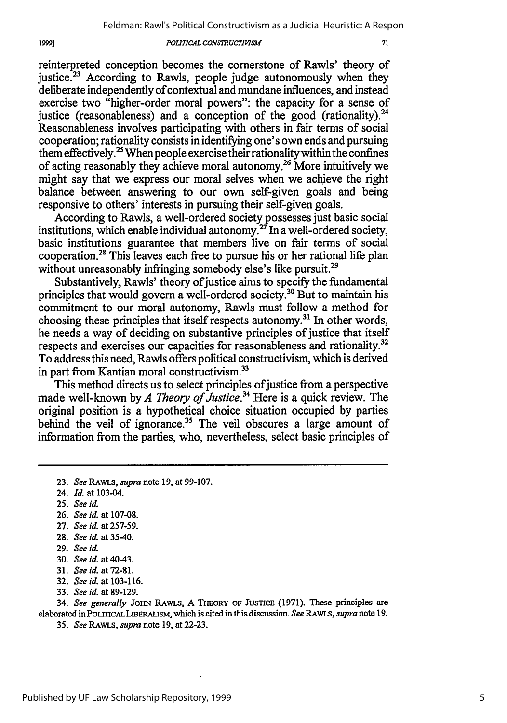#### *POLITICAL CONSTRUCTIVISM*

reinterpreted conception becomes the cornerstone of Rawls' theory of justice. $23$  According to Rawls, people judge autonomously when they deliberate independently of contextual and mundane influences, and instead exercise two "higher-order moral powers": the capacity for a sense of justice (reasonableness) and a conception of the good (rationality). $^{24}$ Reasonableness involves participating with others in fair terms of social cooperation; rationality consists in identifying one's own ends and pursuing them effectively.<sup>25</sup> When people exercise their rationality within the confines of acting reasonably they achieve moral autonomy.26 More intuitively we might say that we express our moral selves when we achieve the right balance between answering to our own self-given goals and being responsive to others' interests in pursuing their self-given goals.

According to Rawls, a well-ordered society possesses just basic social institutions, which enable individual autonomy.27 In a well-ordered society, basic institutions guarantee that members live on fair terms of social cooperation.<sup>28</sup> This leaves each free to pursue his or her rational life plan without unreasonably infringing somebody else's like pursuit.<sup>29</sup>

Substantively, Rawls' theory of justice aims to specify the fundamental principles that would govern a well-ordered society.<sup>30</sup> But to maintain his commitment to our moral autonomy, Rawls must follow a method for choosing these principles that itself respects autonomy.<sup>31</sup> In other words, he needs a way of deciding on substantive principles of justice that itself respects and exercises our capacities for reasonableness and rationality.32 To address this need, Rawls offers political constructivism, which is derived in part from Kantian moral constructivism.<sup>33</sup>

This method directs us to select principles of justice from a perspective made well-known by *A Theory of Justice.34* Here is a quick review. The original position is a hypothetical choice situation occupied by parties behind the veil of ignorance.<sup>35</sup> The veil obscures a large amount of information from the parties, who, nevertheless, select basic principles of

- 26. *See id.* at 107-08.
- 27. *See id.* at 257-59.

- 29. *See id.*
- 30. *See id.* at 40-43.
- 31. *See id.* at 72-81.
- 32. *See id.* at 103-116.
- 33. *See id.* at 89-129.

34. *See generally* JOHN RAWLS, A THEORY OF JUsTICE (1971). These principles are elaborated in PoLrnCALLmERAUSM, which is cited in this discussion. *See RAWLS, supra* note 19.

**<sup>23.</sup>** *See RAwLs, supra* note **19,** at **99-107.**

<sup>24.</sup> *Id.* at 103-04.

**<sup>25.</sup>** *See id.*

<sup>28.</sup> *See id.* at 35-40.

<sup>35.</sup> *See RAWLS, supra* note 19, at 22-23.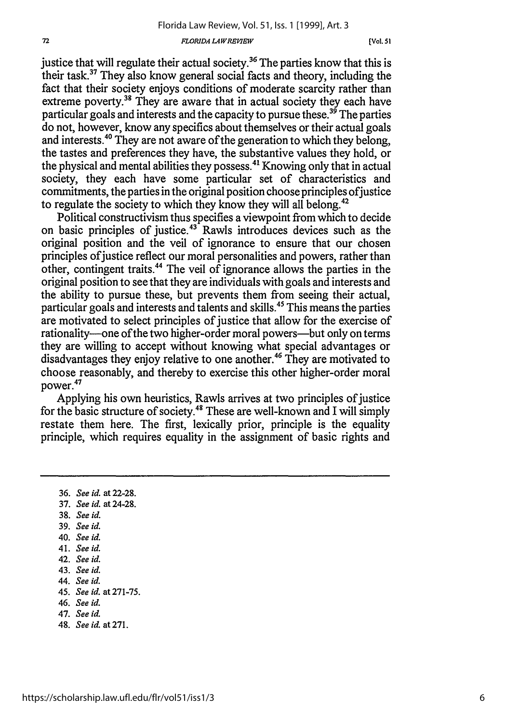#### $FLORIDA$ *LAWREVIEW*

justice that will regulate their actual society.<sup>36</sup> The parties know that this is their task.37 They also know general social facts and theory, including the fact that their society enjoys conditions of moderate scarcity rather than extreme poverty.<sup>38</sup> They are aware that in actual society they each have particular goals and interests and the capacity to pursue these.<sup>39</sup> The parties do not, however, know any specifics about themselves or their actual goals and interests.<sup>40</sup> They are not aware of the generation to which they belong, the tastes and preferences they have, the substantive values they hold, or the physical and mental abilities they possess.<sup>41</sup> Knowing only that in actual society, they each have some particular set of characteristics and commitments, the parties in the original position choose principles of justice to regulate the society to which they know they will all belong.<sup>42</sup>

Political constructivism thus specifies a viewpoint from which to decide on basic principles of justice.43 Rawls introduces devices such as the original position and the veil of ignorance to ensure that our chosen principles of justice reflect our moral personalities and powers, rather than other, contingent traits.44 The veil of ignorance allows the parties in the original position to see that they are individuals with goals and interests and the ability to pursue these, but prevents them from seeing their actual, particular goals and interests and talents and skills.45 This means the parties are motivated to select principles of justice that allow for the exercise of rationality-one of the two higher-order moral powers-but only on terms they are willing to accept without knowing what special advantages or disadvantages they enjoy relative to one another.46 They are motivated to choose reasonably, and thereby to exercise this other higher-order moral power.<sup>47</sup>

Applying his own heuristics, Rawls arrives at two principles of justice for the basic structure of society.48 These are well-known and I will simply restate them here. The first, lexically prior, principle is the equality principle, which requires equality in the assignment of basic rights and

36. *See id.* at 22-28. 37. *See id.* at 24-28. 38. *See id.* 39. *See id.* 40. *See id.* 41. *See id.* 42. *See id.* 43. *See id.* 44. *See id.* 45. *See id.* at 271-75. 46. *See id.* 47. *See id.* 48. *See id.* at 271.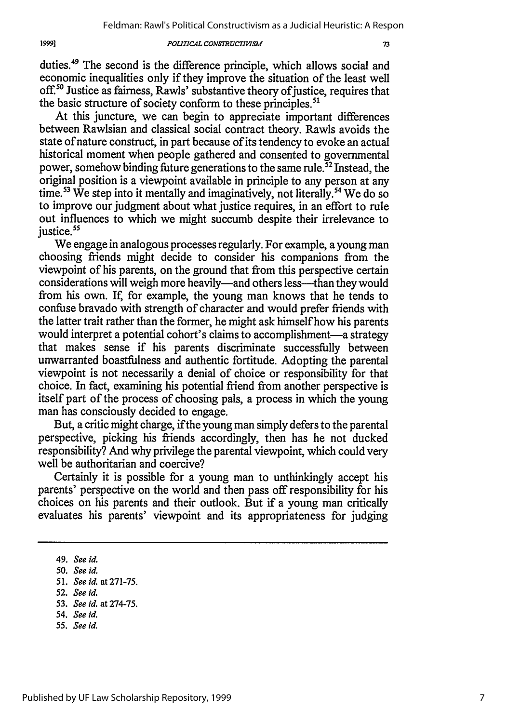#### *POLITIC4L CON.SRUCTIMMSM*

duties.<sup>49</sup> The second is the difference principle, which allows social and economic inequalities only if they improve the situation of the least well off.<sup>50</sup> Justice as fairness, Rawls' substantive theory of justice, requires that the basic structure of society conform to these principles.<sup>51</sup>

At this juncture, we can begin to appreciate important differences between Rawlsian and classical social contract theory. Rawls avoids the state of nature construct, in part because of its tendency to evoke an actual historical moment when people gathered and consented to governmental power, somehow binding future generations to the same rule.<sup> $52$ </sup> Instead, the original position is a viewpoint available in principle to any person at any time.<sup>53</sup> We step into it mentally and imaginatively, not literally.<sup>54</sup> We do so to improve our judgment about what justice requires, in an effort to rule out influences to which we might succumb despite their irrelevance to justice.<sup>55</sup>

We engage in analogous processes regularly. For example, a young man choosing friends might decide to consider his companions from the viewpoint of his parents, on the ground that from this perspective certain considerations will weigh more heavily—and others less—than they would from his own. If, for example, the young man knows that he tends to confuse bravado with strength of character and would prefer friends with the latter trait rather than the former, he might ask himself how his parents would interpret a potential cohort's claims to accomplishment—a strategy that makes sense if his parents discriminate successfully between unwarranted boastfulness and authentic fortitude. Adopting the parental viewpoint is not necessarily a denial of choice or responsibility for that choice. In fact, examining his potential friend from another perspective is itself part of the process of choosing pals, a process in which the young man has consciously decided to engage.

But, a critic might charge, if the young man simply defers to the parental perspective, picking his friends accordingly, then has he not ducked responsibility? And why privilege the parental viewpoint, which could very well be authoritarian and coercive?

Certainly it is possible for a young man to unthinkingly accept his parents' perspective on the world and then pass off responsibility for his choices on his parents and their outlook. But if a young man critically evaluates his parents' viewpoint and its appropriateness for judging

*55. See id.*

<sup>49.</sup> *See id.*

<sup>50.</sup> *See id.*

*<sup>51.</sup> Seeid.* at271-75.

<sup>52.</sup> *See id.*

<sup>53.</sup> *See id.* at 274-75.

<sup>54.</sup> *See id.*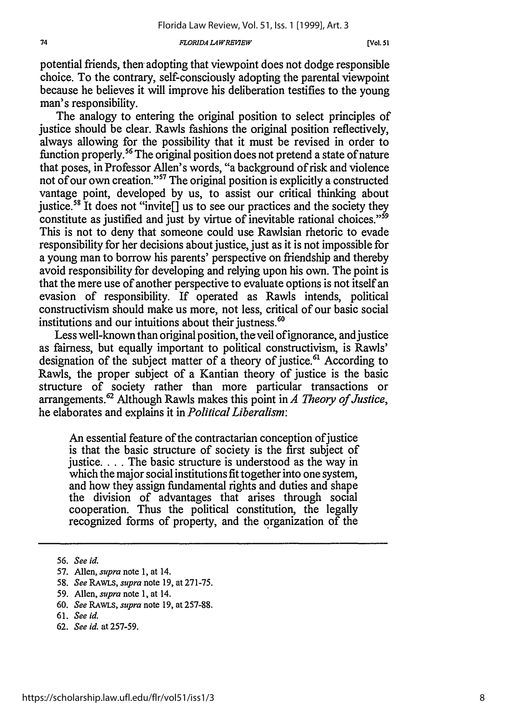#### *FLORIDA L4WREKIEW*

potential friends, then adopting that viewpoint does not dodge responsible choice. To the contrary, self-consciously adopting the parental viewpoint because he believes it will improve his deliberation testifies to the young man's responsibility.

The analogy to entering the original position to select principles of justice should be clear. Rawls fashions the original position reflectively, always allowing for the possibility that it must be revised in order to function properly.56 The original position does not pretend a state of nature that poses, in Professor Allen's words, "a background of risk and violence not of our own creation."57 The original position is explicitly a constructed vantage point, developed by us, to assist our critical thinking about justice.<sup>58</sup> It does not "invite<sup>[]</sup> us to see our practices and the society they constitute as justified and just by virtue of inevitable rational choices."<sup>59</sup> This is not to deny that someone could use Rawlsian rhetoric to evade responsibility for her decisions about justice, just as it is not impossible for a young man to borrow his parents' perspective on friendship and thereby avoid responsibility for developing and relying upon his own. The point is that the mere use of another perspective to evaluate options is not itself an evasion of responsibility. If operated as Rawls intends, political constructivism should make us more, not less, critical of our basic social institutions and our intuitions about their justness.<sup>60</sup>

Less well-known than original position, theveil of ignorance, and justice as fairness, but equally important to political constructivism, is Rawls' designation of the subject matter of a theory of justice.<sup>61</sup> According to Rawls, the proper subject of a Kantian theory of justice is the basic structure of society rather than more particular transactions or arrangements.<sup>6</sup> ' Although Rawls makes this point in *A Theory of Justice,* he elaborates and explains it in *Political Liberalism:*

An essential feature of the contractarian conception of justice is that the basic structure of society is the first subject of justice.... The basic structure is understood as the way in which the major social institutions fit together into one system, and how they assign fundamental rights and duties and shape the division of advantages that arises through social cooperation. Thus the political constitution, the legally recognized forms of property, and the organization of the

- 58. *See RAWLS, supra* note 19, at 271-75.
- 59. Allen, *supra* note 1, at 14.
- 60. *See RAwLS, supra* note 19, at 257-88.
- 61. *See id.*
- 62. *See id.* at 257-59.

<sup>56.</sup> *See id.*

<sup>57.</sup> Allen, *supra* note 1, at 14.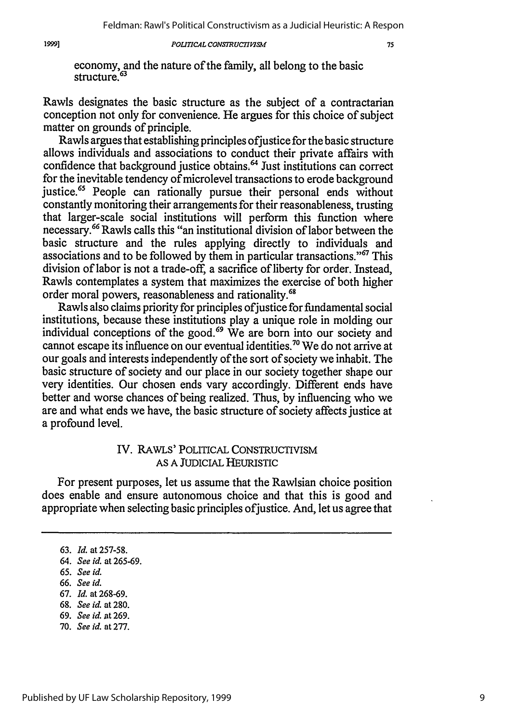19991

### POLITICAL CONSTRUCTIVISM

economy, and the nature of the family, all belong to the basic structure.<sup>63</sup>

Rawls designates the basic structure as the subject of a contractarian conception not only for convenience. He argues for this choice of subject matter on grounds of principle.

Rawls argues that establishing principles ofjustice for the basic structure allows individuals and associations to conduct their private affairs with confidence that background justice obtains.<sup>64</sup> Just institutions can correct for the inevitable tendency of microlevel transactions to erode background justice.<sup>65</sup> People can rationally pursue their personal ends without constantly monitoring their arrangements for their reasonableness, trusting that larger-scale social institutions will perform this function where necessary. 66 Rawls calls this "an institutional division of labor between the basic structure and the rules applying directly to individuals and associations and to be followed by them in particular transactions."<sup>67</sup> This division of labor is not a trade-off, a sacrifice of liberty for order. Instead, Rawls contemplates a system that maximizes the exercise of both higher order moral powers, reasonableness and rationality.<sup>68</sup>

Rawls also claims priority for principles of justice for fundamental social institutions, because these institutions play a unique role in molding our individual conceptions of the good.<sup>69</sup> We are born into our society and cannot escape its influence on our eventual identities.<sup>70</sup> We do not arrive at our goals and interests independently of the sort of society we inhabit. The basic structure of society and our place in our society together shape our very identities. Our chosen ends vary accordingly. Different ends have better and worse chances of being realized. Thus, by influencing who we are and what ends we have, the basic structure of society affects justice at a profound level.

### IV. RAWLS' POLITICAL CONSTRUCTIVISM AS A JUDICIAL HEURISTIC

For present purposes, let us assume that the Rawlsian choice position does enable and ensure autonomous choice and that this is good and appropriate when selecting basic principles of justice. And, let us agree that

- 66. *See id.*
- 67. *Id.* at 268-69.
- 68. *See id.* at **280.**
- 69. *See id.* at 269.
- 70. *See id.* at 277.

<sup>63.</sup> *Id.* at 257-58.

<sup>64.</sup> *See id.* at 265-69.

**<sup>65.</sup>** *See id.*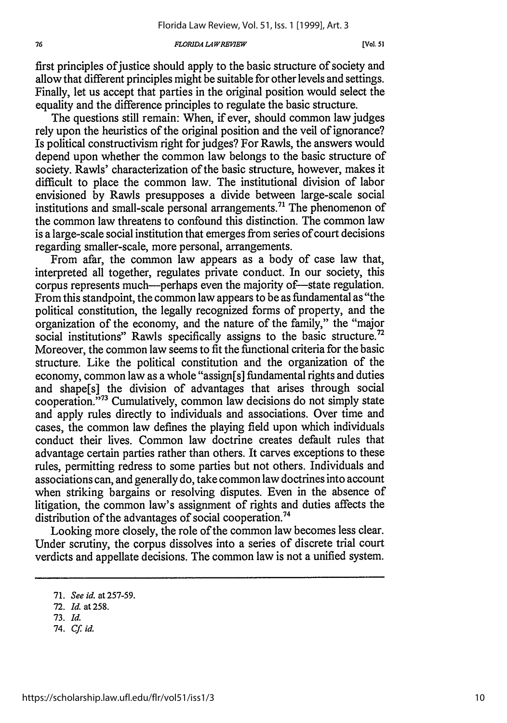#### **FLORIDA LAW REVIEW**

first principles of justice should apply to the basic structure of society and allow that different principles might be suitable for other levels and settings. Finally, let us accept that parties in the original position would select the equality and the difference principles to regulate the basic structure.

The questions still remain: When, if ever, should common law judges rely upon the heuristics of the original position and the veil of ignorance? Is political constructivism right for judges? For Rawls, the answers would depend upon whether the common law belongs to the basic structure of society. Rawls' characterization of the basic structure, however, makes it difficult to place the common law. The institutional division of labor envisioned by Rawls presupposes a divide between large-scale social institutions and small-scale personal arrangements.<sup> $71$ </sup> The phenomenon of the common law threatens to confound this distinction. The common law is a large-scale social institution that emerges from series of court decisions regarding smaller-scale, more personal, arrangements.

From afar, the common law appears as a body of case law that, interpreted all together, regulates private conduct. In our society, this corpus represents much—perhaps even the majority of—state regulation. From this standpoint, the common law appears to be as fundamental as "the political constitution, the legally recognized forms of property, and the organization of the economy, and the nature of the family," the "major social institutions" Rawls specifically assigns to the basic structure.<sup>72</sup> Moreover, the common law seems to fit the functional criteria for the basic structure. Like the political constitution and the organization of the economy, common law as a whole "assign[s] fundamental rights and duties and shape[s] the division of advantages that arises through social cooperation.<sup>773</sup> Cumulatively, common law decisions do not simply state and apply rules directly to individuals and associations. Over time and cases, the common law defines the playing field upon which individuals conduct their lives. Common law doctrine creates default rules that advantage certain parties rather than others. It carves exceptions to these rules, permitting redress to some parties but not others. Individuals and associations can, and generally do, take common law doctrines into account when striking bargains or resolving disputes. Even in the absence of litigation, the common law's assignment of rights and duties affects the distribution of the advantages of social cooperation.<sup>74</sup>

Looking more closely, the role of the common law becomes less clear. Under scrutiny, the corpus dissolves into a series of discrete trial court verdicts and appellate decisions. The common law is not a unified system.

*74. Cf id.*

<sup>71.</sup> *See id.* at 257-59.

<sup>72.</sup> *Id.* at 258.

<sup>73.</sup> *Id.*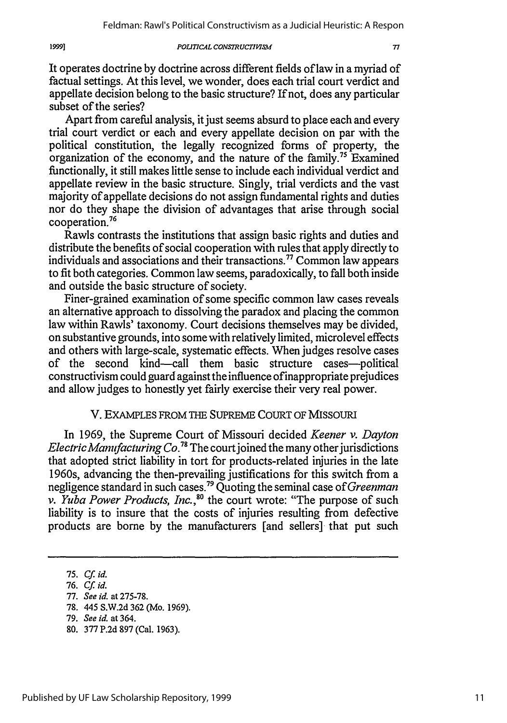*POLITICAL CONSTRUCTISMI*

#### 

It operates doctrine by doctrine across different fields of law in a myriad of factual settings. At this level, we wonder, does each trial court verdict and appellate decision belong to the basic structure? If not, does any particular subset of the series?

Apart from careful analysis, it just seems absurd to place each and every trial court verdict or each and every appellate decision on par with the political constitution, the legally recognized forms of property, the organization of the economy, and the nature of the family.<sup>75</sup> Examined functionally, it still makes little sense to include each individual verdict and appellate review in the basic structure. Singly, trial verdicts and the vast majority of appellate decisions do not assign fundamental rights and duties nor do they shape the division of advantages that arise through social cooperation.76

Rawls contrasts the institutions that assign basic rights and duties and distribute the benefits of social cooperation with rules that apply directly to individuals and associations and their transactions.<sup>77</sup> Common law appears to fit both categories. Common law seems, paradoxically, to fall both inside and outside the basic structure of society.

Finer-grained examination of some specific common law cases reveals an alternative approach to dissolving the paradox and placing the common law within Rawls' taxonomy. Court decisions themselves may be divided, on substantive grounds, into some with relatively limited, microlevel effects and others with large-scale, systematic effects. When judges resolve cases of the second kind-call them basic structure cases-political constructivism could guard against the influence of inappropriate prejudices and allow judges to honestly yet fairly exercise their very real power.

### V. EXAMPLES FROM THE SUPREME COURT OF MISSOURI

In 1969, the Supreme Court of Missouri decided *Keener v. Dayton Electric Manufacturing Co.*<sup>78</sup> The court joined the many other jurisdictions that adopted strict liability in tort for products-related injuries in the late 1960s, advancing the then-prevailing justifications for this switch from a negligence standard in such cases.79 Quoting the seminal case of *Greenman v. Yuba Power Products, Inc.*,<sup>80</sup> the court wrote: "The purpose of such liability is to insure that the costs of injuries resulting from defective products are borne by the manufacturers [and sellers] that put such

78. 445 S.W.2d 362 (Mo. 1969).

<sup>75.</sup> **Cf** *id.*

<sup>76.</sup> *Cf id.*

<sup>77.</sup> *See id.* at 275-78.

<sup>79.</sup> *See id.* at 364.

<sup>80. 377</sup> P.2d 897 (Cal. 1963).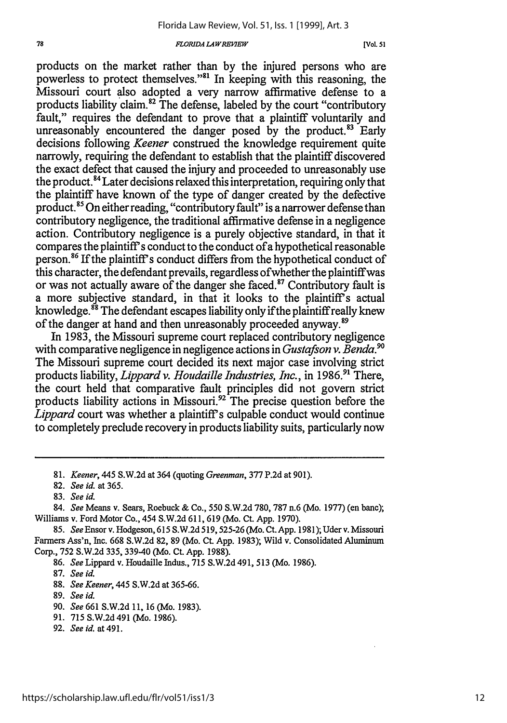#### *FLORIDA LA WREIWE[o*

products on the market rather than by the injured persons who are powerless to protect themselves."81 In keeping with this reasoning, the Missouri court also adopted a very narrow affirmative defense to a products liability claim.82 The defense, labeled by the court "contributory fault," requires the defendant to prove that a plaintiff voluntarily and unreasonably encountered the danger posed by the product.<sup>83</sup> Early decisions following *Keener* construed the knowledge requirement quite narrowly, requiring the defendant to establish that the plaintiff discovered the exact defect that caused the injury and proceeded to unreasonably use the product. **84** Later decisions relaxed this interpretation, requiring only that the plaintiff have known of the type of danger created by the defective product.85 On either reading, "contributory fault" is a narrower defense than contributory negligence, the traditional affirmative defense in a negligence action. Contributory negligence is a purely objective standard, in that it compares the plaintiff s conduct to the conduct ofa hypothetical reasonable person.<sup>86</sup> If the plaintiff's conduct differs from the hypothetical conduct of this character, the defendant prevails, regardless of whether the plaintiffwas or was not actually aware of the danger she faced.<sup>87</sup> Contributory fault is a more subjective standard, in that it looks to the plaintiff's actual knowledge.<sup>88</sup> The defendant escapes liability only if the plaintiff really knew of the danger at hand and then unreasonably proceeded anyway.89

In 1983, the Missouri supreme court replaced contributory negligence with comparative negligence in negligence actions in *Gustafson v. Benda.9 "* The Missouri supreme court decided its next major case involving strict products liability, *Lippard v. Houdaille Industries, Inc.,* in 1986."' There, the court held that comparative fault principles did not govern strict products liability actions in Missouri.92 The precise question before the *Lippard* court was whether a plaintiff's culpable conduct would continue to completely preclude recovery in products liability suits, particularly now

- **88.** *See Keener,* 445 **S.W.2d** at **365-66.**
- **89.** *See id.*
- **90.** *See 661* **S.W.2d 11, 16** (Mo. **1983).**
- **91. 715 S.W.2d** 491 (Mo. 1986).
- **92.** *See id.* at 491.

<sup>81.</sup> *Keener,* 445 S.W.2d at 364 (quoting *Greenman,* 377 P.2d at 901).

<sup>82.</sup> *See id.* at 365.

<sup>83.</sup> *See id.*

<sup>84.</sup> *See* Means v. Sears, Roebuck & Co., 550 S.W.2d 780, 787 n.6 (Mo. 1977) (en banc); Williams v. Ford Motor Co., 454 S.W.2d 611, 619 (Mo. Ct. App. 1970).

<sup>85.</sup> *See* Ensor v. Hodgeson, 615 S.W.2d 519,525-26 (Mo. Ct. App. 1981); Uderv. Missouri Farmers Ass'n, Inc. 668 S.W.2d 82, 89 (Mo. Ct. App. 1983); Wild v. Consolidated Aluminum Corp., 752 S.W.2d 335, 339-40 (Mo. Ct. App. 1988).

<sup>86.</sup> *See* Lippard v. Houdaille Indus., 715 S.W.2d 491, 513 (Mo. 1986).

**<sup>87.</sup>** *See id.*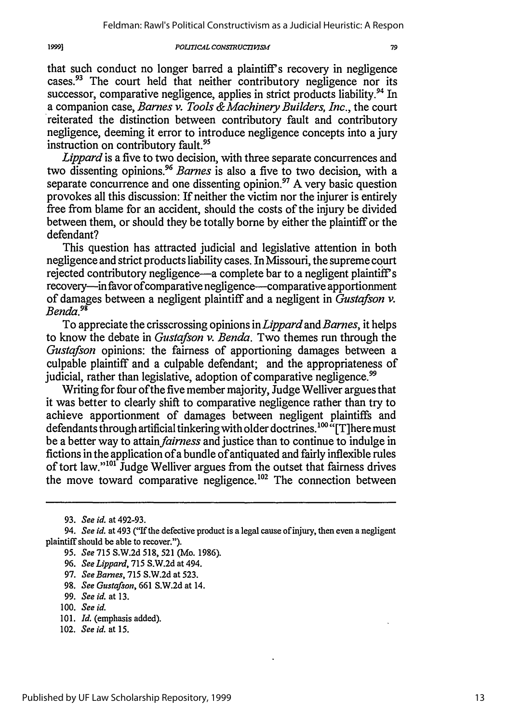#### *POLUTICAL CONSTRUC77PYSM*

that such conduct no longer barred a plaintiff's recovery in negligence cases.<sup>93</sup> The court held that neither contributory negligence nor its successor, comparative negligence, applies in strict products liability.<sup>94</sup> In a companion case, *Barnes v. Tools &Machinery Builders, Inc.,* the court reiterated the distinction between contributory fault and contributory negligence, deeming it error to introduce negligence concepts into a jury instruction on contributory fault.<sup>95</sup>

*Lippard* is a five to two decision, with three separate concurrences and two dissenting opinions.<sup>96</sup>*Barnes* is also a five to two decision, with a separate concurrence and one dissenting opinion.<sup>97</sup> A very basic question provokes all this discussion: If neither the victim nor the injurer is entirely free from blame for an accident, should the costs of the injury be divided between them, or should they be totally borne by either the plaintiff or the defendant?

This question has attracted judicial and legislative attention in both negligence and strict products liability cases. In Missouri, the supreme court rejected contributory negligence-a complete bar to a negligent plaintiff's recovery-in favor of comparative negligence-comparative apportionment of damages between a negligent plaintiff and a negligent in *Gustafson v. Benda.9 "*

To appreciate the crisscrossing opinions *inLippard* and *Barnes,* it helps to know the debate in *Gustafson v. Benda.* Two themes run through the *Gustafson* opinions: the fairness of apportioning damages between a culpable plaintiff and a culpable defendant; and the appropriateness of judicial, rather than legislative, adoption of comparative negligence.<sup>99</sup>

Writing for four of the five member majority, Judge Welliver argues that it was better to clearly shift to comparative negligence rather than try to achieve apportionment of damages between negligent plaintiffs and defendants through artificial tinkering with older doctrines.<sup>100 "</sup>[T]here must be a better way to attain *fairness* and justice than to continue to indulge in fictions in the application of a bundle of antiquated and fairly inflexible rules of tort law."'01 Judge Welliver argues from the outset that fairness drives the move toward comparative negligence.<sup>102</sup> The connection between

- 101. *Id.* (emphasis added).
- 102. *See id.* at 15.

19991

<sup>93.</sup> *See id.* at 492-93.

*<sup>94.</sup> See id.* at 493 ("If the defective product is a legal cause of injury, then even a negligent plaintiff should be able to recover.").

<sup>95.</sup> *See* 715 S.W.2d 518, 521 (Mo. 1986).

<sup>96.</sup> *See Lippard,* 715 S.W.2d at 494.

<sup>97.</sup> *See Barnes,* 715 S.W.2d at 523.

<sup>98.</sup> *See Gustafson,* 661 S.W.2d at 14.

<sup>99.</sup> *See id.* at 13.

<sup>100.</sup> *See id.*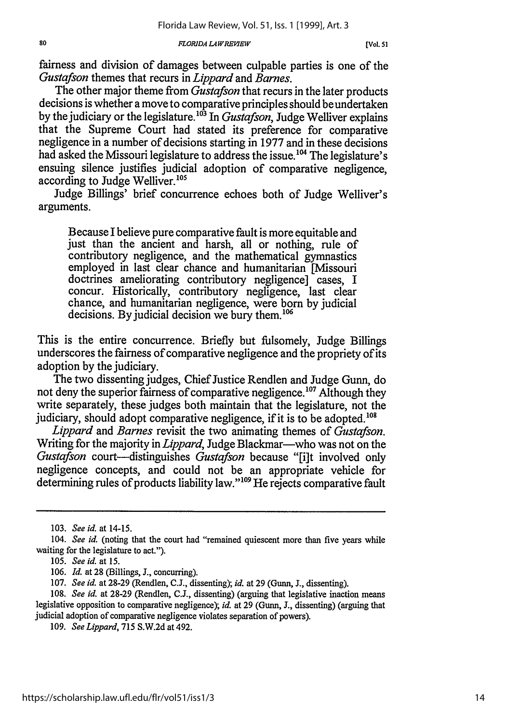#### *FLORIDA LAWREVIEW*

fairness and division of damages between culpable parties is one of the *Gustafson* themes that recurs in *Lippard* and *Barnes.*

The other major theme from *Gustafson* that recurs in the later products decisions is whether a move to comparative principles should be undertaken by the judiciary or the legislature.<sup>103</sup> In *Gustafson*, Judge Welliver explains that the Supreme Court had stated its preference for comparative negligence in a number of decisions starting in 1977 and in these decisions had asked the Missouri legislature to address the issue.<sup>104</sup> The legislature's ensuing silence justifies judicial adoption of comparative negligence, according to Judge Welliver.<sup>105</sup>

Judge Billings' brief concurrence echoes both of Judge Welliver's arguments.

Because I believe pure comparative fault is more equitable and just than the ancient and harsh, all or nothing, rule of contributory negligence, and the mathematical gymnastics employed in last clear chance and humanitarian [Missouri doctrines ameliorating contributory negligence] cases, I concur. Historically, contributory negligence, last clear chance, and humanitarian negligence, were born by judicial decisions. By judicial decision we bury them.<sup>106</sup>

This is the entire concurrence. Briefly but fulsomely, Judge Billings underscores the fairness of comparative negligence and the propriety of its adoption by the judiciary.

The two dissenting judges, Chief Justice Rendlen and Judge Gunn, do not deny the superior fairness of comparative negligence.<sup>107</sup> Although they write separately, these judges both maintain that the legislature, not the judiciary, should adopt comparative negligence, if it is to be adopted.'

*Lippard* and *Barnes* revisit the two animating themes of *Gustafson.* Writing for the majority in *Lippard*, Judge Blackmar—who was not on the *Gustafson* court—distinguishes *Gustafson* because "[i]t involved only negligence concepts, and could not be an appropriate vehicle for determining rules of products liability law."<sup>109</sup> He rejects comparative fault

<sup>103.</sup> *See id.* at 14-15.

<sup>104.</sup> See id. (noting that the court had "remained quiescent more than five years while waiting for the legislature to act.").

*<sup>105.</sup> See id.* at *15.*

<sup>106.</sup> *Id.* at 28 (Billings, J., concurring).

<sup>107.</sup> *See id.* at 28-29 (Rendlen, C.J., dissenting); *id.* at 29 (Gunn, **J.,** dissenting).

**<sup>108.</sup>** *See id.* at 28-29 (Rendlen, C.J., dissenting) (arguing that legislative inaction means legislative opposition to comparative negligence); *id.* at 29 (Gunn, *3.,* dissenting) (arguing that judicial adoption of comparative negligence violates separation of powers).

<sup>109.</sup> *See Lippard,* 715 S.W.2d at 492.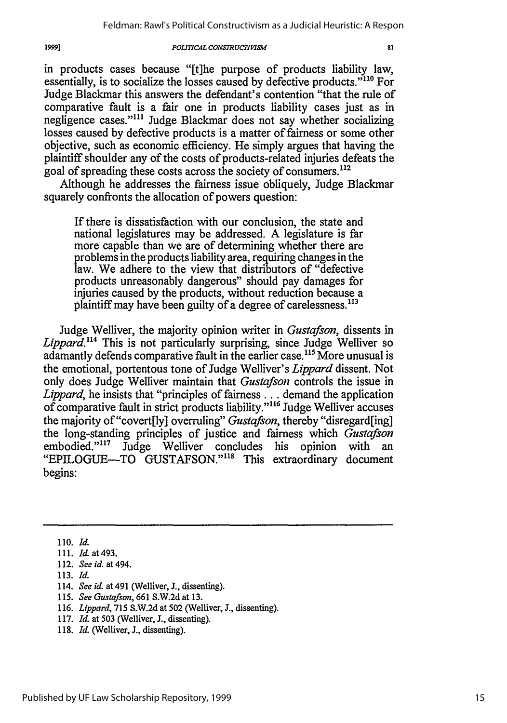#### $POLITICAL CONSTRUCTIVISM$

in products cases because "[t]he purpose of products liability law, essentially, is to socialize the losses caused by defective products."<sup>110</sup> For Judge Blackmar this answers the defendant's contention "that the rule of comparative fault is a fair one in products liability cases just as in negligence cases."<sup>111</sup> Judge Blackmar does not say whether socializing losses caused by defective products is a matter of fairness or some other objective, such as economic efficiency. He simply argues that having the plaintiff shoulder any of the costs of products-related injuries defeats the goal of spreading these costs across the society of consumers.<sup>112</sup>

Although he addresses the fairness issue obliquely, Judge Blackmar squarely confronts the allocation of powers question:

If there is dissatisfaction with our conclusion, the state and national legislatures may be addressed. A legislature is far more capable than we are of determining whether there are problems in the products liability area, requiring changes in the law. We adhere to the view that distributors of "defective products unreasonably dangerous" should pay damages for injuries caused by the products, without reduction because a plaintiff may have been guilty of a degree of carelessness.<sup>113</sup>

Judge Welliver, the majority opinion writer in *Gustafson,* dissents in *Lippard."4* This is not particularly surprising, since Judge Welliver so adamantly defends comparative fault in the earlier case.<sup>115</sup> More unusual is the emotional, portentous tone of Judge Welliver's *Lippard* dissent. Not only does Judge Welliver maintain that *Gustafson* controls the issue in *Lippard,* he insists that "principles of fairness **...** demand the application of comparative fault in strict products liability.""16 Judge Welliver accuses the majority of"covert[ly] overruling" *Gustafson,* thereby "disregard[ing] the long-standing principles of justice and fairness which *Gustafson* embodied."<sup>117</sup> Judge Welliver concludes his opinion with an "EPILOGUE-TO GUSTAFSON."<sup>118</sup> This extraordinary document begins:

1999]

- 113. *Id.*
- 114. *See id.* at 491 (Welliver, J., dissenting).
- 115. *See Gustafson,* 661 S.W.2d at 13.
- 116. *Lippard,* 715 S.W.2d at 502 (Welliver, **J.,** dissenting).
- 117. *Id.* at 503 (Welliver, **J.,** dissenting).
- 118. *Id.* (Welliver, J., dissenting).

<sup>110.</sup> *Id.*

<sup>111.</sup> *Id.* at493.

<sup>112.</sup> *Seeid.* at494.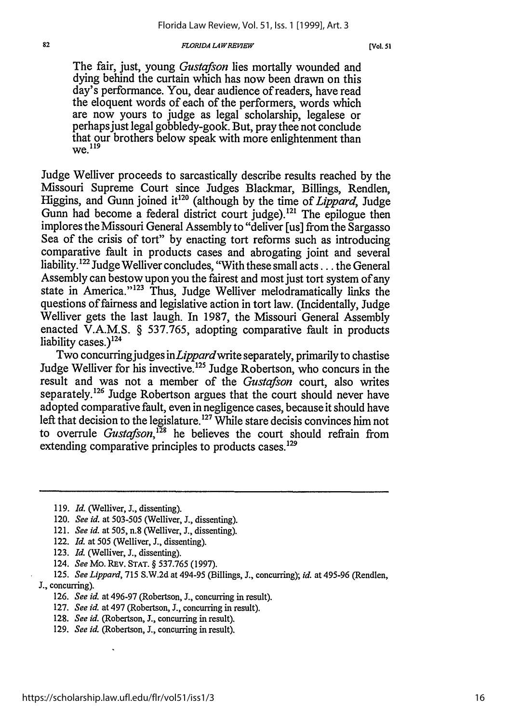#### **FLORIDA LAW REVIEW**

The fair, just, young *Gustafson* lies mortally wounded and dying behind the curtain which has now been drawn on this day's performance. You, dear audience of readers, have read the eloquent words of each of the performers, words which are now yours to judge as legal scholarship, legalese or perhaps just legal gobbledy-gook. But, pray thee not conclude that our brothers below speak with more enlightenment than  $we.<sup>119</sup>$ 

Judge Welliver proceeds to sarcastically describe results reached by the Missouri Supreme Court since Judges Blackmar, Billings, Rendlen, Higgins, and Gunn joined it<sup>120</sup> (although by the time of *Lippard*, Judge Gunn had become a federal district court judge).<sup>121</sup> The epilogue then implores the Missouri General Assembly to "deliver [us] from the Sargasso Sea of the crisis of tort" by enacting tort reforms such as introducing comparative fault in products cases and abrogating joint and several liability.<sup>122</sup> Judge Welliver concludes, "With these small acts... the General Assembly can bestow upon you the fairest and most just tort system of any state in America."<sup>123</sup> Thus, Judge Welliver melodramatically links the questions of fairness and legislative action in tort law. (Incidentally, Judge Welliver gets the last laugh. In 1987, the Missouri General Assembly enacted V.A.M.S. § 537.765, adopting comparative fault in products liability cases.) $124$ 

Two concurring judges *inLippardwrite* separately, primarily to chastise Judge Welliver for his invective.'25 Judge Robertson, who concurs in the result and was not a member of the *Gustafson* court, also writes separately.<sup>126</sup> Judge Robertson argues that the court should never have adopted comparative fault, even in negligence cases, because it should have left that decision to the legislature.<sup>127</sup> While stare decisis convinces him not to overrule *Gustafson*,<sup>128</sup> he believes the court should refrain from extending comparative principles to products cases. $129$ 

- 123. *Id.* (Welliver, **J.,** dissenting).
- 124. *See* Mo. REv. **STAT.** § 537.765 (1997).
- 125. *See Lippard,* 715 S.W.2d at 494-95 (Billings, J., concurring); id. at 495-96 (Rendlen,
- J., concurring).
	- 126. *See id.* at 496-97 (Robertson, J., concurring in result).
	- 127. *See id.* at 497 (Robertson, **J.,** concurring in result).
	- 128. *See id.* (Robertson, J., concurring in result).
	- 129. *See id.* (Robertson, **J.,** concurring in result).

<sup>119.</sup> *Id.* (Welliver, J., dissenting).

<sup>120.</sup> *See id.* at 503-505 (Welliver, J., dissenting).

<sup>121.</sup> *See id. at* 505, n.8 (Welliver, J., dissenting).

<sup>122.</sup> *Id.* at 505 (Welliver, **J.,** dissenting).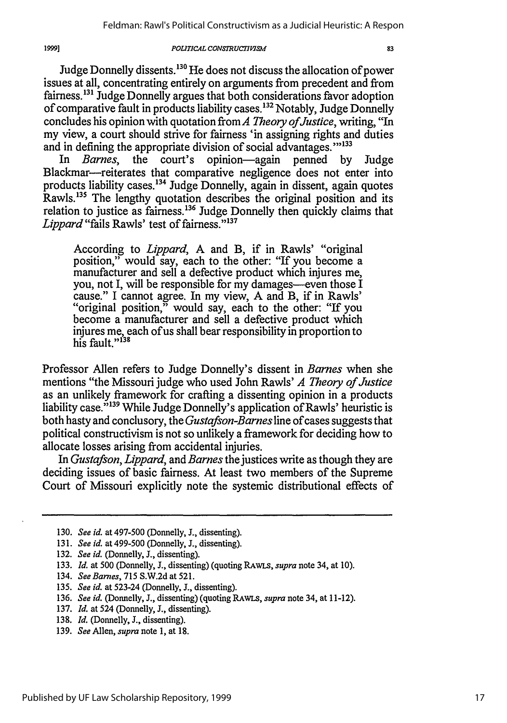#### *POUTICAL CONSMRUCTIVlS*

1999]

Judge Donnelly dissents.130 He does not discuss the allocation of power issues at all, concentrating entirely on arguments from precedent and from fairness.<sup>131</sup> Judge Donnelly argues that both considerations favor adoption of comparative fault in products liability cases.<sup>132</sup> Notably, Judge Donnelly concludes his opinion with quotation from A *Theory of Justice*, writing, "In my view, a court should strive for fairness 'in assigning rights and duties and in defining the appropriate division of social advantages."<sup>133</sup>

In *Barnes,* the court's opinion-again penned by Judge Blackmar----reiterates that comparative negligence does not enter into products liability cases.'34 Judge Donnelly, again in dissent, again quotes Rawls.<sup>135</sup> The lengthy quotation describes the original position and its relation to justice as fairness.'36 Judge Donnelly then quickly claims that Lippard "fails Rawls' test of fairness."<sup>137</sup>

According to *Lippard,* A and B, if in Rawls' "original position," would say, each to the other: "If you become a manufacturer and sell a defective product which injures me, you, not I, will be responsible for my damages—even those I cause." I cannot agree. In my view, A and B, if in Rawls' " original position," would say, each to the other: "If you become a manufacturer and sell a defective product which injures me, each ofus shall bear responsibility in proportion to his fault."<sup>138</sup>

Professor Allen refers to Judge Donnelly's dissent in *Barnes* when she mentions "the Missouri judge who used John Rawls' *A Theory of Justice* as an unlikely framework for crafting a dissenting opinion in a products liability case.<sup>5139</sup> While Judge Donnelly's application of Rawls' heuristic is both hasty and conclusory, the *Gustafson-Barnes* line of cases suggests that political constructivism is not so unlikely a framework for deciding how to allocate losses arising from accidental injuries.

In *Gustafson, Lippard,* and *Barnes* the justices write as though they are deciding issues of basic fairness. At least two members of the Supreme Court of Missouri explicitly note the systemic distributional effects of

- 137. *Id.* at 524 (Donnelly, **J.,** dissenting).
- 138. *Id.* (Donnelly, **J.,** dissenting).
- 139. *See* Allen, *supra* note 1, at 18.

<sup>130.</sup> *See id.* at 497-500 (Donnelly, **J.,** dissenting).

<sup>131.</sup> *See id.* at 499-500 (Donnelly, J., dissenting).

<sup>132.</sup> *See id.* (Donnelly, J., dissenting).

<sup>133.</sup> *Id. at* 500 (Donnelly, **J.,** dissenting) (quoting RAWLS, *supra* note 34, at 10).

<sup>134.</sup> *See Barnes,* 715 **S.W.2d** at 521.

<sup>135.</sup> *See id.* at 523-24 (Donnelly, J., dissenting).

<sup>136.</sup> *See id.* (Donnelly, J., dissenting) (quoting RAwLs, *supra* note 34, at 11-12).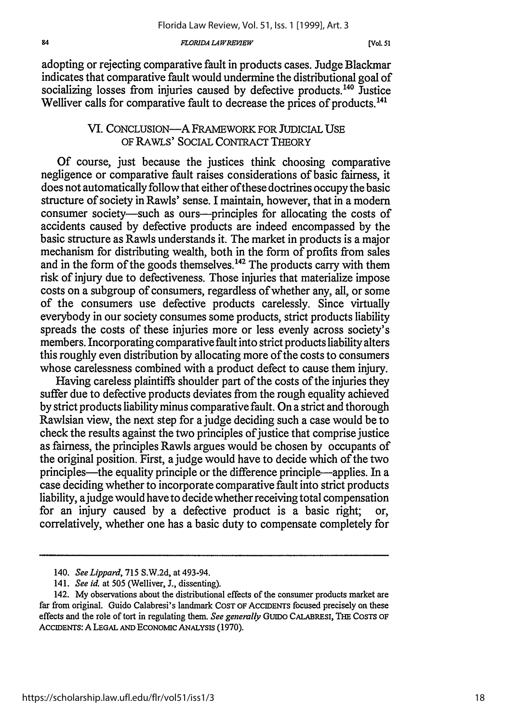#### *FLORIDA LAWREVEW*

adopting or rejecting comparative fault in products cases. Judge Blackmar indicates that comparative fault would undermine the distributional goal of socializing losses from injuries caused by defective products.<sup>140</sup> Justice Welliver calls for comparative fault to decrease the prices of products.<sup>141</sup>

### VI. CONCLUSION-A FRAMEWORK FOR JUDICIAL USE OF RAWLS' SOCIAL CONTRACT THEORY

Of course, just because the justices think choosing comparative negligence or comparative fault raises considerations of basic fairness, it does not automatically follow that either of these doctrines occupy the basic structure of society in Rawls' sense. I maintain, however, that in a modem consumer society—such as ours—principles for allocating the costs of accidents caused by defective products are indeed encompassed by the basic structure as Rawls understands it. The market in products is a major mechanism for distributing wealth, both in the form of profits from sales and in the form of the goods themselves.<sup>142</sup> The products carry with them risk of injury due to defectiveness. Those injuries that materialize impose costs on a subgroup of consumers, regardless of whether any, all, or some of the consumers use defective products carelessly. Since virtually everybody in our society consumes some products, strict products liability spreads the costs of these injuries more or less evenly across society's members. Incorporating comparative fault into strict products liability alters this roughly even distribution by allocating more of the costs to consumers whose carelessness combined with a product defect to cause them injury.

Having careless plaintiffs shoulder part of the costs of the injuries they suffer due to defective products deviates from the rough equality achieved by strict products liability minus comparative fault. On a strict and thorough Rawlsian view, the next step for a judge deciding such a case would be to check the results against the two principles of justice that comprise justice as fairness, the principles Rawls argues would be chosen by occupants of the original position. First, a judge would have to decide which of the two principles—the equality principle or the difference principle—applies. In a case deciding whether to incorporate comparative fault into strict products liability, a judge would have to decide whether receiving total compensation for an injury caused by a defective product is a basic right; correlatively, whether one has a basic duty to compensate completely for

<sup>140.</sup> *SeeLippard,* 715 S.W.2d, at 493-94.

<sup>141.</sup> *See id. at* 505 (Welliver, J., dissenting).

<sup>142.</sup> My observations about the distributional effects of the consumer products market are far from original. Guido Calabresi's landmark **COST** OF ACCIDENTS focused precisely on these effects and the role of tort in regulating them. *See generally GuiDO* CALABRESI, **THE COSTS** OF ACCIDENTS: A **LEGAL AND** ECONOMIc ANALYSIS (1970).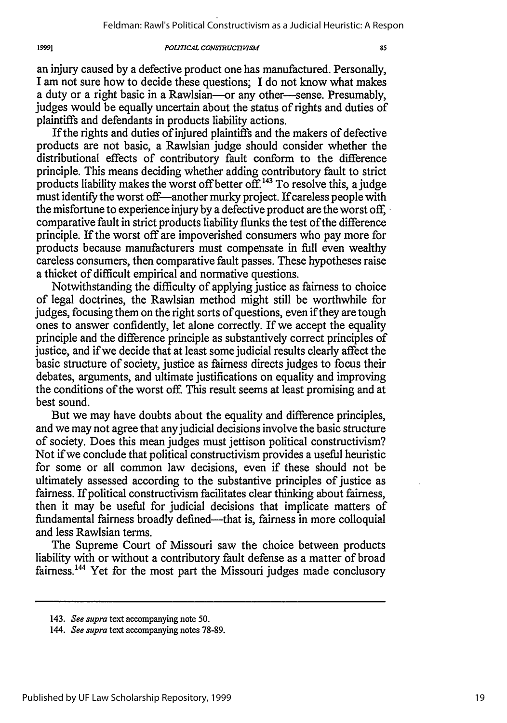#### *POLITICAL CONSTRUCTIM,*

an injury caused by a defective product one has manufactured. Personally, I am not sure how to decide these questions; I do not know what makes a duty or a right basic in a Rawlsian-or any other-sense. Presumably, judges would be equally uncertain about the status of rights and duties of plaintiffs and defendants in products liability actions.

If the rights and duties of injured plaintiffs and the makers of defective products are not basic, a Rawlsian judge should consider whether the distributional effects of contributory fault conform to the difference principle. This means deciding whether adding contributory fault to strict products liability makes the worst off better off.<sup>143</sup> To resolve this, a judge must identify the worst off—another murky project. If careless people with the misfortune to experience injury by a defective product are the worst off, comparative fault in strict products liability flunks the test of the difference principle. If the worst off are impoverished consumers who pay more for products because manufacturers must compensate in full even wealthy careless consumers, then comparative fault passes. These hypotheses raise a thicket of difficult empirical and normative questions.

Notwithstanding the difficulty of applying justice as fairness to choice of legal doctrines, the Rawlsian method might still be worthwhile for judges, focusing them on the right sorts of questions, even if they are tough ones to answer confidently, let alone correctly. If we accept the equality principle and the difference principle as substantively correct principles of justice, and if we decide that at least some judicial results clearly affect the basic structure of society, justice as fairness directs judges to focus their debates, arguments, and ultimate justifications on equality and improving the conditions of the worst off. This result seems at least promising and at best sound.

But we may have doubts about the equality and difference principles, and we may not agree that any judicial decisions involve the basic structure of society. Does this mean judges must jettison political constructivism? Not if we conclude that political constructivism provides a useful heuristic for some or all common law decisions, even if these should not be ultimately assessed according to the substantive principles of justice as fairness. If political constructivism facilitates clear thinking about fairness, then it may be useful for judicial decisions that implicate matters of fundamental fairness broadly defined---that is, fairness in more colloquial and less Rawlsian terms.

The Supreme Court of Missouri saw the choice between products liability with or without a contributory fault defense as a matter of broad fairness.<sup>144</sup> Yet for the most part the Missouri judges made conclusory

<sup>143.</sup> *See supra* text accompanying note **50.**

<sup>144.</sup> *See supra* text accompanying notes 78-89.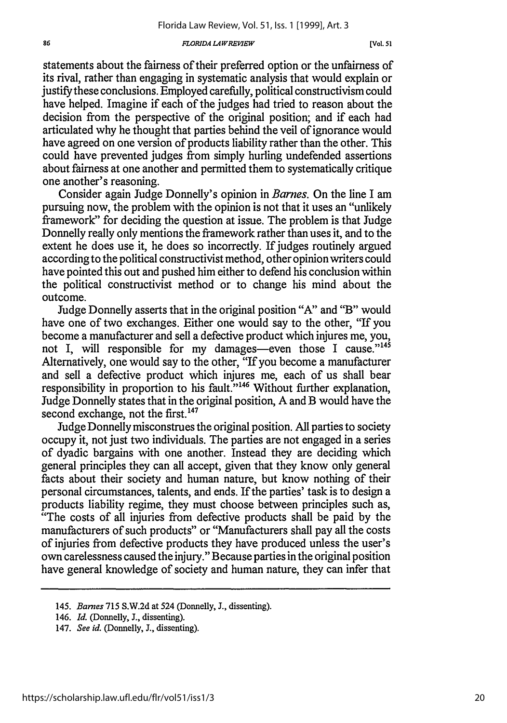#### **FLORIDA LAWREVIEW**

statements about the fairness of their preferred option or the unfairness of its rival, rather than engaging in systematic analysis that would explain or justify these conclusions. Employed carefully, political constructivism could have helped. Imagine if each of the judges had tried to reason about the decision from the perspective of the original position; and if each had articulated why he thought that parties behind the veil of ignorance would have agreed on one version of products liability rather than the other. This could have prevented judges from simply hurling undefended assertions about fairness at one another and permitted them to systematically critique one another's reasoning.

Consider again Judge Donnelly's opinion in *Barnes.* On the line I am pursuing now, the problem with the opinion is not that it uses an "unlikely framework" for deciding the question at issue. The problem is that Judge Donnelly really only mentions the framework rather than uses it, and to the extent he does use it, he does so incorrectly. If judges routinely argued according to the political constructivist method, other opinion writers could have pointed this out and pushed him either to defend his conclusion within the political constructivist method or to change his mind about the outcome.

Judge Donnelly asserts that in the original position "A" and "B" would have one of two exchanges. Either one would say to the other, "If you become a manufacturer and sell a defective product which injures me, you, not I, will responsible for my damages-even those I cause."<sup>145</sup> Alternatively, one would say to the other, "If you become a manufacturer and sell a defective product which injures me, each of us shall bear responsibility in proportion to his fault."<sup>146</sup> Without further explanation, Judge Donnelly states that in the original position, A and B would have the second exchange, not the first.<sup>147</sup>

Judge Donnelly misconstrues the original position. All parties to society occupy it, not just two individuals. The parties are not engaged in a series of dyadic bargains with one another. Instead they are deciding which general principles they can all accept, given that they know only general facts about their society and human nature, but know nothing of their personal circumstances, talents, and ends. If the parties' task is to design a products liability regime, they must choose between principles such as, "The costs of all injuries from defective products shall be paid by the manufacturers of such products" or "Manufacturers shall pay all the costs of injuries from defective products they have produced unless the user's own carelessness caused the injury." Because parties in the original position have general knowledge of society and human nature, they can infer that

<sup>145.</sup> *Barnes* 715 S.W.2d at 524 (Donnelly, **J.,** dissenting).

<sup>146.</sup> *Id.* (Donnelly, J., dissenting).

<sup>147.</sup> *See id.* (Donnelly, **J.,** dissenting).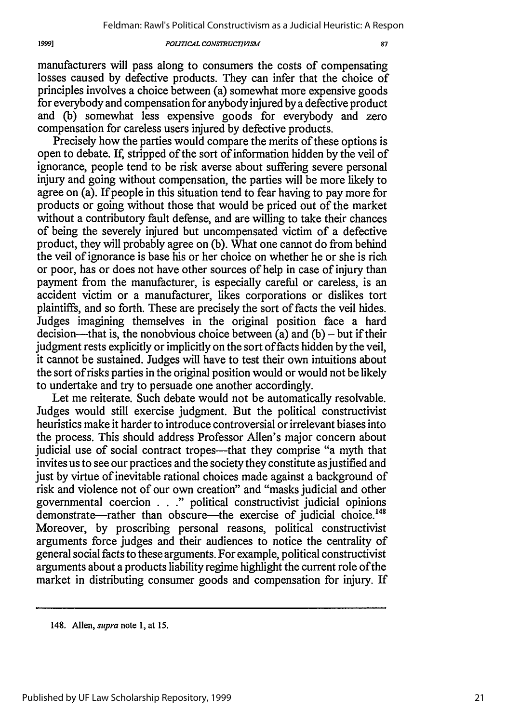#### $POLITICAL CONSTRUCTI *VISM*$

1999]

manufacturers will pass along to consumers the costs of compensating losses caused by defective products. They can infer that the choice of principles involves a choice between (a) somewhat more expensive goods for everybody and compensation for anybody injured by a defective product and (b) somewhat less expensive goods for everybody and zero compensation for careless users injured by defective products.

Precisely how the parties would compare the merits of these options is open to debate. If, stripped of the sort of information hidden by the veil of ignorance, people tend to be risk averse about suffering severe personal injury and going without compensation, the parties will be more likely to agree on (a). If people in this situation tend to fear having to pay more for products or going without those that would be priced out of the market without a contributory fault defense, and are willing to take their chances of being the severely injured but uncompensated victim of a defective product, they will probably agree on (b). What one cannot do from behind the veil of ignorance is base his or her choice on whether he or she is rich or poor, has or does not have other sources of help in case of injury than payment from the manufacturer, is especially careful or careless, is an accident victim or a manufacturer, likes corporations or dislikes tort plaintiffs, and so forth. These are precisely the sort of facts the veil hides. Judges imagining themselves in the original position face a hard decision—that is, the nonobvious choice between (a) and (b) – but if their judgment rests explicitly or implicitly on the sort of facts hidden by the veil, it cannot be sustained. Judges will have to test their own intuitions about the sort of risks parties in the original position would or would not be likely to undertake and try to persuade one another accordingly.

Let me reiterate. Such debate would not be automatically resolvable. Judges would still exercise judgment. But the political constructivist heuristics make it harder to introduce controversial or irrelevant biases into the process. This should address Professor Allen's major concern about judicial use of social contract tropes—that they comprise "a myth that invites us to see our practices and the society they constitute as justified and just by virtue of inevitable rational choices made against a background of risk and violence not of our own creation" and "masks judicial and other governmental coercion . . ." political constructivist judicial opinions demonstrate-rather than obscure-the exercise of judicial choice.<sup>148</sup> Moreover, by proscribing personal reasons, political constructivist arguments force judges and their audiences to notice the centrality of general social facts to these arguments. For example, political constructivist arguments about a products liability regime highlight the current role of the market in distributing consumer goods and compensation for injury. If

<sup>148.</sup> Allen, *supra* note 1, at 15.